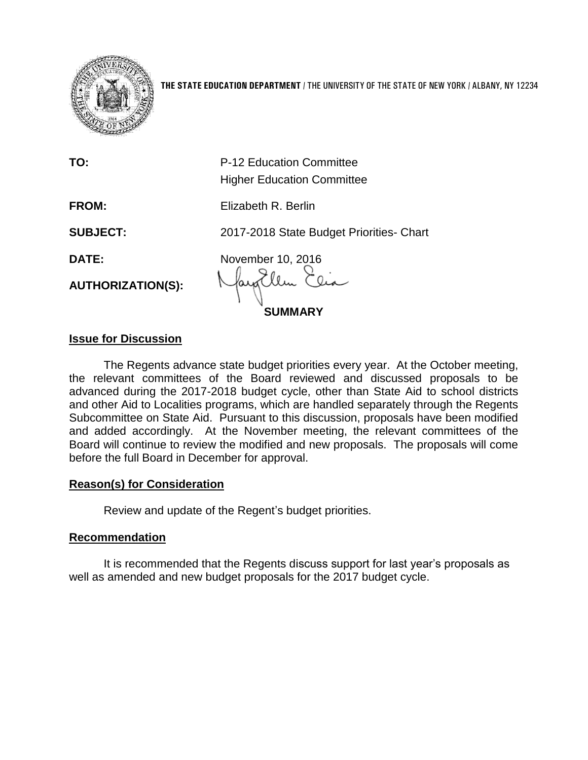

**THE STATE EDUCATION DEPARTMENT** / THE UNIVERSITY OF THE STATE OF NEW YORK / ALBANY, NY 12234

|                          | <b>SUMMARY</b>                                                |
|--------------------------|---------------------------------------------------------------|
| <b>AUTHORIZATION(S):</b> |                                                               |
| <b>DATE:</b>             | November 10, 2016                                             |
| <b>SUBJECT:</b>          | 2017-2018 State Budget Priorities- Chart                      |
| <b>FROM:</b>             | Elizabeth R. Berlin                                           |
| TO:                      | P-12 Education Committee<br><b>Higher Education Committee</b> |
|                          |                                                               |

## **Issue for Discussion**

The Regents advance state budget priorities every year. At the October meeting, the relevant committees of the Board reviewed and discussed proposals to be advanced during the 2017-2018 budget cycle, other than State Aid to school districts and other Aid to Localities programs, which are handled separately through the Regents Subcommittee on State Aid. Pursuant to this discussion, proposals have been modified and added accordingly. At the November meeting, the relevant committees of the Board will continue to review the modified and new proposals. The proposals will come before the full Board in December for approval.

## **Reason(s) for Consideration**

Review and update of the Regent's budget priorities.

## **Recommendation**

It is recommended that the Regents discuss support for last year's proposals as well as amended and new budget proposals for the 2017 budget cycle.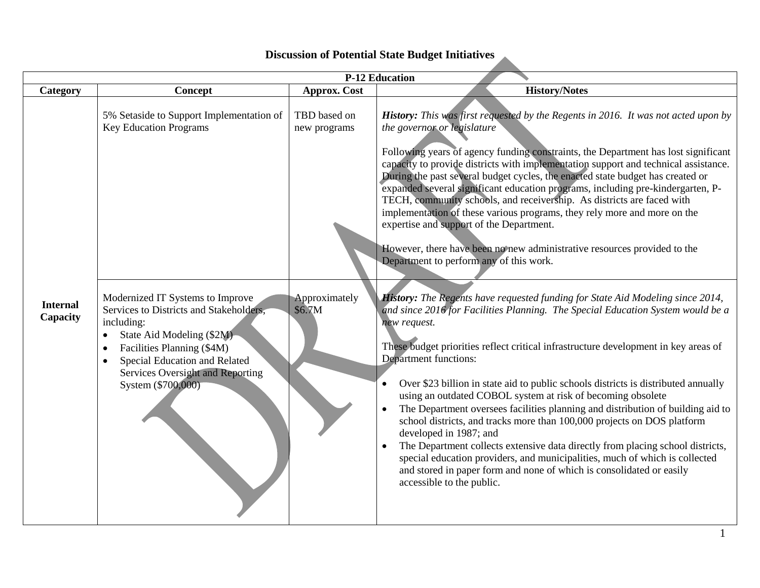## **Discussion of Potential State Budget Initiatives**

|                             |                                                                                                                                                                                                                                                                                        |                              | <b>P-12 Education</b>                                                                                                                                                                                                                                                                                                                                                                                                                                                                                                                                                                                                                                                                                                                                                                                                                                                                                                             |
|-----------------------------|----------------------------------------------------------------------------------------------------------------------------------------------------------------------------------------------------------------------------------------------------------------------------------------|------------------------------|-----------------------------------------------------------------------------------------------------------------------------------------------------------------------------------------------------------------------------------------------------------------------------------------------------------------------------------------------------------------------------------------------------------------------------------------------------------------------------------------------------------------------------------------------------------------------------------------------------------------------------------------------------------------------------------------------------------------------------------------------------------------------------------------------------------------------------------------------------------------------------------------------------------------------------------|
| Category                    | Concept                                                                                                                                                                                                                                                                                | <b>Approx.</b> Cost          | <b>History/Notes</b>                                                                                                                                                                                                                                                                                                                                                                                                                                                                                                                                                                                                                                                                                                                                                                                                                                                                                                              |
|                             | 5% Setaside to Support Implementation of<br><b>Key Education Programs</b>                                                                                                                                                                                                              | TBD based on<br>new programs | History: This was first requested by the Regents in 2016. It was not acted upon by<br>the governor or legislature<br>Following years of agency funding constraints, the Department has lost significant<br>capacity to provide districts with implementation support and technical assistance.<br>During the past several budget cycles, the enacted state budget has created or<br>expanded several significant education programs, including pre-kindergarten, P-<br>TECH, community schools, and receivership. As districts are faced with<br>implementation of these various programs, they rely more and more on the<br>expertise and support of the Department.<br>However, there have been no new administrative resources provided to the<br>Department to perform any of this work.                                                                                                                                      |
| <b>Internal</b><br>Capacity | Modernized IT Systems to Improve<br>Services to Districts and Stakeholders,<br>including:<br>State Aid Modeling (\$2M)<br>$\bullet$<br>Facilities Planning (\$4M)<br>$\bullet$<br>Special Education and Related<br>$\bullet$<br>Services Oversight and Reporting<br>System (\$700,000) | Approximately<br>\$6.7M      | History: The Regents have requested funding for State Aid Modeling since 2014,<br>and since 2016 for Facilities Planning. The Special Education System would be a<br>new request.<br>These budget priorities reflect critical infrastructure development in key areas of<br>Department functions:<br>Over \$23 billion in state aid to public schools districts is distributed annually<br>$\bullet$<br>using an outdated COBOL system at risk of becoming obsolete<br>The Department oversees facilities planning and distribution of building aid to<br>school districts, and tracks more than 100,000 projects on DOS platform<br>developed in 1987; and<br>The Department collects extensive data directly from placing school districts,<br>special education providers, and municipalities, much of which is collected<br>and stored in paper form and none of which is consolidated or easily<br>accessible to the public. |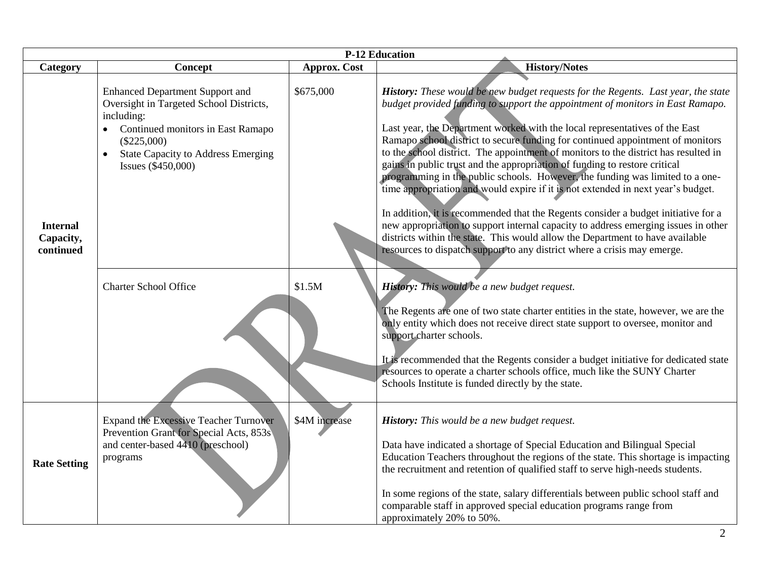|                                           |                                                                                                                                                                                                                                                          |                     | <b>P-12 Education</b>                                                                                                                                                                                                                                                                                                                                                                                                                                                                                                                                                                                                                                                                                                                                                                                                                                                                                                                                                                                                                                                                                                                                                                                                                                                                                                                                                                                                                                                                                   |
|-------------------------------------------|----------------------------------------------------------------------------------------------------------------------------------------------------------------------------------------------------------------------------------------------------------|---------------------|---------------------------------------------------------------------------------------------------------------------------------------------------------------------------------------------------------------------------------------------------------------------------------------------------------------------------------------------------------------------------------------------------------------------------------------------------------------------------------------------------------------------------------------------------------------------------------------------------------------------------------------------------------------------------------------------------------------------------------------------------------------------------------------------------------------------------------------------------------------------------------------------------------------------------------------------------------------------------------------------------------------------------------------------------------------------------------------------------------------------------------------------------------------------------------------------------------------------------------------------------------------------------------------------------------------------------------------------------------------------------------------------------------------------------------------------------------------------------------------------------------|
| Category                                  | Concept                                                                                                                                                                                                                                                  | <b>Approx. Cost</b> | <b>History/Notes</b>                                                                                                                                                                                                                                                                                                                                                                                                                                                                                                                                                                                                                                                                                                                                                                                                                                                                                                                                                                                                                                                                                                                                                                                                                                                                                                                                                                                                                                                                                    |
| <b>Internal</b><br>Capacity,<br>continued | <b>Enhanced Department Support and</b><br>Oversight in Targeted School Districts,<br>including:<br>Continued monitors in East Ramapo<br>$(\$225,000)$<br><b>State Capacity to Address Emerging</b><br>Issues (\$450,000)<br><b>Charter School Office</b> | \$675,000<br>\$1.5M | History: These would be new budget requests for the Regents. Last year, the state<br>budget provided funding to support the appointment of monitors in East Ramapo.<br>Last year, the Department worked with the local representatives of the East<br>Ramapo school district to secure funding for continued appointment of monitors<br>to the school district. The appointment of monitors to the district has resulted in<br>gains in public trust and the appropriation of funding to restore critical<br>programming in the public schools. However, the funding was limited to a one-<br>time appropriation and would expire if it is not extended in next year's budget.<br>In addition, it is recommended that the Regents consider a budget initiative for a<br>new appropriation to support internal capacity to address emerging issues in other<br>districts within the state. This would allow the Department to have available<br>resources to dispatch support to any district where a crisis may emerge.<br>History: This would be a new budget request.<br>The Regents are one of two state charter entities in the state, however, we are the<br>only entity which does not receive direct state support to oversee, monitor and<br>support charter schools.<br>It is recommended that the Regents consider a budget initiative for dedicated state<br>resources to operate a charter schools office, much like the SUNY Charter<br>Schools Institute is funded directly by the state. |
| <b>Rate Setting</b>                       | <b>Expand the Excessive Teacher Turnover</b><br>Prevention Grant for Special Acts, 853s<br>and center-based 4410 (preschool)<br>programs                                                                                                                 | \$4M increase       | History: This would be a new budget request.<br>Data have indicated a shortage of Special Education and Bilingual Special<br>Education Teachers throughout the regions of the state. This shortage is impacting<br>the recruitment and retention of qualified staff to serve high-needs students.<br>In some regions of the state, salary differentials between public school staff and<br>comparable staff in approved special education programs range from<br>approximately 20% to 50%.                                                                                                                                                                                                                                                                                                                                                                                                                                                                                                                                                                                                                                                                                                                                                                                                                                                                                                                                                                                                              |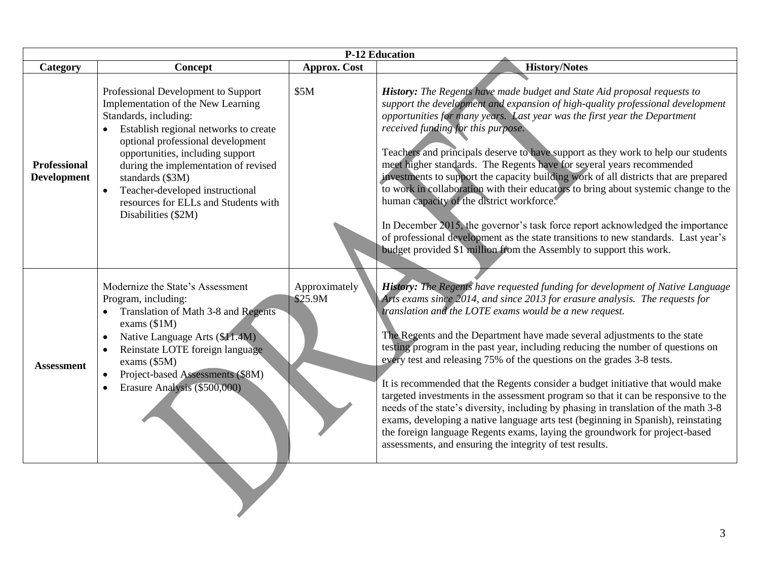| <b>P-12 Education</b>                     |                                                                                                                                                                                                                                                                                                                                                                                                 |                          |                                                                                                                                                                                                                                                                                                                                                                                                                                                                                                                                                                                                                                                                                                                                                                                                                                                                                                                                                                    |
|-------------------------------------------|-------------------------------------------------------------------------------------------------------------------------------------------------------------------------------------------------------------------------------------------------------------------------------------------------------------------------------------------------------------------------------------------------|--------------------------|--------------------------------------------------------------------------------------------------------------------------------------------------------------------------------------------------------------------------------------------------------------------------------------------------------------------------------------------------------------------------------------------------------------------------------------------------------------------------------------------------------------------------------------------------------------------------------------------------------------------------------------------------------------------------------------------------------------------------------------------------------------------------------------------------------------------------------------------------------------------------------------------------------------------------------------------------------------------|
| Category                                  | Concept                                                                                                                                                                                                                                                                                                                                                                                         | <b>Approx. Cost</b>      | <b>History/Notes</b>                                                                                                                                                                                                                                                                                                                                                                                                                                                                                                                                                                                                                                                                                                                                                                                                                                                                                                                                               |
| <b>Professional</b><br><b>Development</b> | Professional Development to Support<br>Implementation of the New Learning<br>Standards, including:<br>Establish regional networks to create<br>optional professional development<br>opportunities, including support<br>during the implementation of revised<br>standards (\$3M)<br>Teacher-developed instructional<br>$\bullet$<br>resources for ELLs and Students with<br>Disabilities (\$2M) | \$5M                     | History: The Regents have made budget and State Aid proposal requests to<br>support the development and expansion of high-quality professional development<br>opportunities for many years. Last year was the first year the Department<br>received funding for this purpose.<br>Teachers and principals deserve to have support as they work to help our students<br>meet higher standards. The Regents have for several years recommended<br>investments to support the capacity building work of all districts that are prepared<br>to work in collaboration with their educators to bring about systemic change to the<br>human capacity of the district workforce.<br>In December 2015, the governor's task force report acknowledged the importance<br>of professional development as the state transitions to new standards. Last year's<br>budget provided \$1 million from the Assembly to support this work.                                             |
| <b>Assessment</b>                         | Modernize the State's Assessment<br>Program, including:<br>Translation of Math 3-8 and Regents<br>exams $(\$1M)$<br>Native Language Arts (\$11.4M)<br>$\bullet$<br>Reinstate LOTE foreign language<br>$\bullet$<br>exams (\$5M)<br>Project-based Assessments (\$8M)<br>$\bullet$<br>Erasure Analysis (\$500,000)<br>$\bullet$                                                                   | Approximately<br>\$25.9M | History: The Regents have requested funding for development of Native Language<br>Arts exams since 2014, and since 2013 for erasure analysis. The requests for<br>translation and the LOTE exams would be a new request.<br>The Regents and the Department have made several adjustments to the state<br>testing program in the past year, including reducing the number of questions on<br>every test and releasing 75% of the questions on the grades 3-8 tests.<br>It is recommended that the Regents consider a budget initiative that would make<br>targeted investments in the assessment program so that it can be responsive to the<br>needs of the state's diversity, including by phasing in translation of the math 3-8<br>exams, developing a native language arts test (beginning in Spanish), reinstating<br>the foreign language Regents exams, laying the groundwork for project-based<br>assessments, and ensuring the integrity of test results. |
|                                           |                                                                                                                                                                                                                                                                                                                                                                                                 |                          |                                                                                                                                                                                                                                                                                                                                                                                                                                                                                                                                                                                                                                                                                                                                                                                                                                                                                                                                                                    |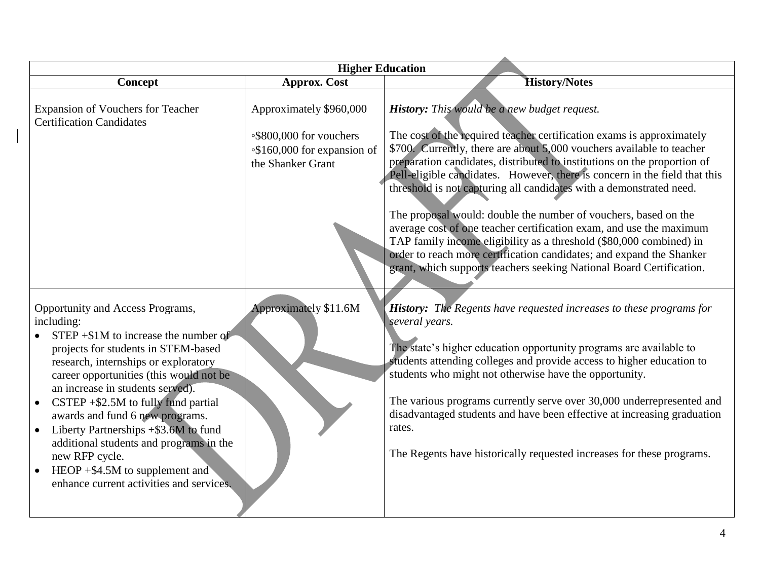|                                                                                                                                                                                                                                                                                                                                                                                                                                                                                                                                       | <b>Higher Education</b>                                                                                |                                                                                                                                                                                                                                                                                                                                                                                                                                                                                                                                              |
|---------------------------------------------------------------------------------------------------------------------------------------------------------------------------------------------------------------------------------------------------------------------------------------------------------------------------------------------------------------------------------------------------------------------------------------------------------------------------------------------------------------------------------------|--------------------------------------------------------------------------------------------------------|----------------------------------------------------------------------------------------------------------------------------------------------------------------------------------------------------------------------------------------------------------------------------------------------------------------------------------------------------------------------------------------------------------------------------------------------------------------------------------------------------------------------------------------------|
| Concept                                                                                                                                                                                                                                                                                                                                                                                                                                                                                                                               | <b>Approx. Cost</b>                                                                                    | <b>History/Notes</b>                                                                                                                                                                                                                                                                                                                                                                                                                                                                                                                         |
| <b>Expansion of Vouchers for Teacher</b><br><b>Certification Candidates</b>                                                                                                                                                                                                                                                                                                                                                                                                                                                           | Approximately \$960,000<br>∘\$800,000 for vouchers<br>∘\$160,000 for expansion of<br>the Shanker Grant | History: This would be a new budget request.<br>The cost of the required teacher certification exams is approximately<br>\$700. Currently, there are about 5,000 vouchers available to teacher<br>preparation candidates, distributed to institutions on the proportion of<br>Pell-eligible candidates. However, there is concern in the field that this<br>threshold is not capturing all candidates with a demonstrated need.                                                                                                              |
|                                                                                                                                                                                                                                                                                                                                                                                                                                                                                                                                       |                                                                                                        | The proposal would: double the number of vouchers, based on the<br>average cost of one teacher certification exam, and use the maximum<br>TAP family income eligibility as a threshold (\$80,000 combined) in<br>order to reach more certification candidates; and expand the Shanker<br>grant, which supports teachers seeking National Board Certification.                                                                                                                                                                                |
| Opportunity and Access Programs,<br>including:<br>$STEP + $1M$ to increase the number of<br>projects for students in STEM-based<br>research, internships or exploratory<br>career opportunities (this would not be<br>an increase in students served).<br>$CSTEP + $2.5M$ to fully fund partial<br>awards and fund 6 new programs.<br>Liberty Partnerships +\$3.6M to fund<br>additional students and programs in the<br>new RFP cycle.<br>HEOP $+$ \$4.5M to supplement and<br>$\bullet$<br>enhance current activities and services. | Approximately \$11.6M                                                                                  | <b>History:</b> The Regents have requested increases to these programs for<br>several years.<br>The state's higher education opportunity programs are available to<br>students attending colleges and provide access to higher education to<br>students who might not otherwise have the opportunity.<br>The various programs currently serve over 30,000 underrepresented and<br>disadvantaged students and have been effective at increasing graduation<br>rates.<br>The Regents have historically requested increases for these programs. |